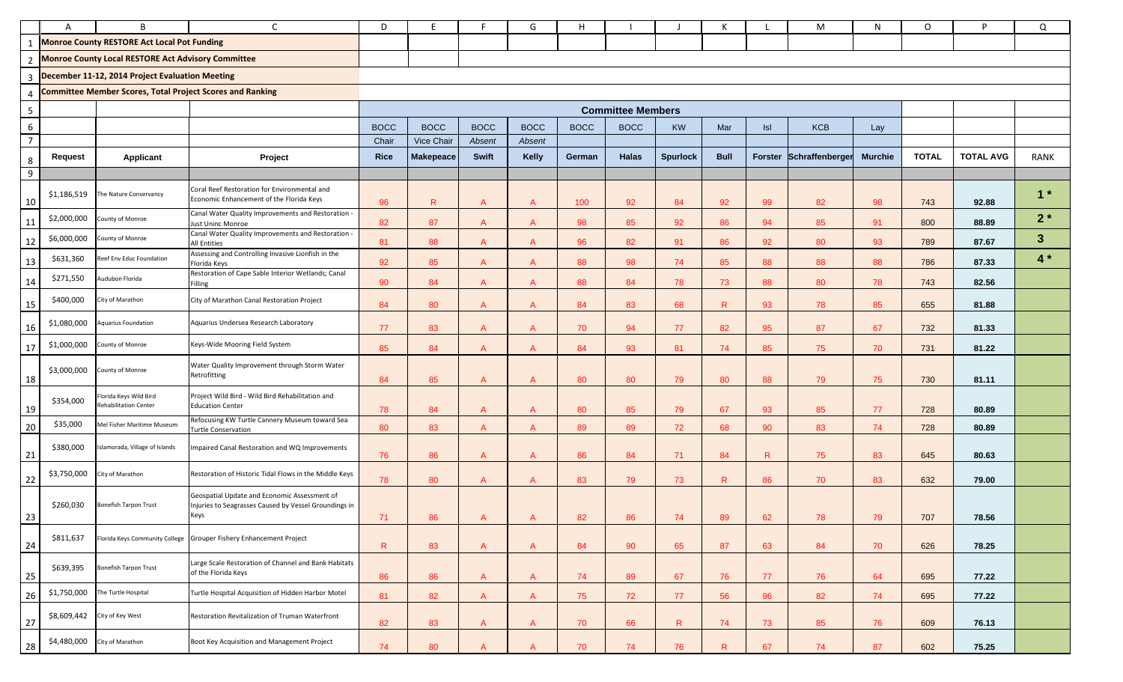|                | A           | B                                                                | C                                                                                                             | D           | F                |              | G              | н           |                          |                 | к           |              | М                       | N              | O            | P                | Q            |
|----------------|-------------|------------------------------------------------------------------|---------------------------------------------------------------------------------------------------------------|-------------|------------------|--------------|----------------|-------------|--------------------------|-----------------|-------------|--------------|-------------------------|----------------|--------------|------------------|--------------|
| 1              |             | <b>Monroe County RESTORE Act Local Pot Funding</b>               |                                                                                                               |             |                  |              |                |             |                          |                 |             |              |                         |                |              |                  |              |
| $\overline{2}$ |             | <b>Monroe County Local RESTORE Act Advisory Committee</b>        |                                                                                                               |             |                  |              |                |             |                          |                 |             |              |                         |                |              |                  |              |
| $\overline{3}$ |             | December 11-12, 2014 Project Evaluation Meeting                  |                                                                                                               |             |                  |              |                |             |                          |                 |             |              |                         |                |              |                  |              |
| $\overline{4}$ |             | <b>Committee Member Scores, Total Project Scores and Ranking</b> |                                                                                                               |             |                  |              |                |             |                          |                 |             |              |                         |                |              |                  |              |
| $\overline{5}$ |             |                                                                  |                                                                                                               |             |                  |              |                |             | <b>Committee Members</b> |                 |             |              |                         |                |              |                  |              |
| $\sqrt{6}$     |             |                                                                  |                                                                                                               | <b>BOCC</b> | <b>BOCC</b>      | <b>BOCC</b>  | <b>BOCC</b>    | <b>BOCC</b> | <b>BOCC</b>              | <b>KW</b>       | Mar         | $\vert$ sl   | <b>KCB</b>              | Lay            |              |                  |              |
| $\overline{7}$ |             |                                                                  |                                                                                                               | Chair       | Vice Chair       | Absent       | Absent         |             |                          |                 |             |              |                         |                |              |                  |              |
| $\,8\,$        | Request     | Applicant                                                        | Project                                                                                                       | <b>Rice</b> | <b>Makepeace</b> | Swift        | Kelly          | German      | <b>Halas</b>             | <b>Spurlock</b> | <b>Bull</b> |              | Forster Schraffenberger | <b>Murchie</b> | <b>TOTAL</b> | <b>TOTAL AVG</b> | RANK         |
| $\overline{9}$ |             |                                                                  |                                                                                                               |             |                  |              |                |             |                          |                 |             |              |                         |                |              |                  |              |
| 10             | \$1,186,519 | The Nature Conservancy                                           | Coral Reef Restoration for Environmental and<br>Economic Enhancement of the Florida Keys                      | 96          | R                |              | A              | 100         | 92                       | 84              | 92          | 99           | 82                      | 98             | 743          | 92.88            | $1*$         |
| 11             | \$2,000,000 | County of Monroe                                                 | Canal Water Quality Improvements and Restoration<br><b>Just Uninc Monroe</b>                                  | 82          | 87               | A            | $\overline{A}$ | 98          | 85                       | 92              | 86          | 94           | 85                      | 91             | 800          | 88.89            | $2*$         |
| 12             | \$6,000,000 | County of Monroe                                                 | Canal Water Quality Improvements and Restoration<br><b>All Entities</b>                                       | 81          | 88               | A            | $\overline{A}$ | 96          | 82                       | 91              | 86          | 92           | 80                      | 93             | 789          | 87.67            | $\mathbf{3}$ |
| 13             | \$631,360   | Reef Env Educ Foundation                                         | Assessing and Controlling Invasive Lionfish in the<br>Florida Keys                                            | 92          | 85               | A            | $\overline{A}$ | 88          | 98                       | 74              | 85          | 88           | 88                      | 88             | 786          | 87.33            | $4*$         |
| 14             | \$271,550   | Audubon Florida                                                  | Restoration of Cape Sable Interior Wetlands; Canal<br>illing                                                  | 90          | 84               | $\mathsf{A}$ | A              | 88          | 84                       | 78              | 73          | 88           | 80                      | 78             | 743          | 82.56            |              |
| 15             | \$400,000   | City of Marathon                                                 | City of Marathon Canal Restoration Project                                                                    | 84          | 80               | A            | A              | 84          | 83                       | 68              | R.          | 93           | 78                      | 85             | 655          | 81.88            |              |
| 16             | \$1,080,000 | <b>Aquarius Foundation</b>                                       | Aquarius Undersea Research Laboratory                                                                         | 77          | 83               | A            | A              | 70          | 94                       | 77              | 82          | 95           | 87                      | 67             | 732          | 81.33            |              |
| 17             | \$1,000,000 | County of Monroe                                                 | Keys-Wide Mooring Field System                                                                                | 85          | 84               | A            | $\mathsf{A}$   | 84          | 93                       | 81              | 74          | 85           | 75                      | 70             | 731          | 81.22            |              |
| 18             | \$3,000,000 | County of Monroe                                                 | Water Quality Improvement through Storm Water<br>Retrofitting                                                 | 84          | 85               | A            | A              | 80          | 80                       | 79              | 80          | 88           | 79                      | 75             | 730          | 81.11            |              |
| 19             | \$354,000   | Florida Keys Wild Bird<br><b>Rehabilitation Center</b>           | Project Wild Bird - Wild Bird Rehabilitation and<br><b>Education Center</b>                                   | 78          | 84               | A            | A              | 80          | 85                       | 79              | 67          | 93           | 85                      | 77             | 728          | 80.89            |              |
| 20             | \$35,000    | Mel Fisher Maritime Museum                                       | Refocusing KW Turtle Cannery Museum toward Sea<br><b>Turtle Conservation</b>                                  | 80          | 83               | A            | A              | 89          | 89                       | 72              | 68          | 90           | 83                      | 74             | 728          | 80.89            |              |
| 21             | \$380,000   | Islamorada, Village of Islands                                   | Impaired Canal Restoration and WQ Improvements                                                                | 76          | 86               | $\mathsf{A}$ | A              | 86          | 84                       | 71              | 84          | $\mathsf{R}$ | 75                      | 83             | 645          | 80.63            |              |
| 22             | \$3,750,000 | City of Marathon                                                 | Restoration of Historic Tidal Flows in the Middle Keys                                                        | 78          | 80               | A            | A              | 83          | 79                       | 73              | R.          | 86           | 70                      | 83             | 632          | 79.00            |              |
| 23             | \$260,030   | <b>Bonefish Tarpon Trust</b>                                     | Geospatial Update and Economic Assessment of<br>Injuries to Seagrasses Caused by Vessel Groundings in<br>Keys | 71          | 86               | $\mathsf{A}$ | $\mathsf{A}$   | 82          | 86                       | 74              | 89          | 62           | 78                      | 79             | 707          | 78.56            |              |
| 24             | \$811,637   |                                                                  | Florida Keys Community College Grouper Fishery Enhancement Project                                            | R           | 83               | $\mathsf{A}$ | A              | 84          | 90                       | 65              | 87          | 63           | 84                      | 70             | 626          | 78.25            |              |
| 25             | \$639,395   | <b>Bonefish Tarpon Trust</b>                                     | Large Scale Restoration of Channel and Bank Habitats<br>of the Florida Keys                                   | 86          | 86               | $\mathsf{A}$ | $\mathsf{A}$   | 74          | 89                       | 67              | 76          | 77           | 76                      | 64             | 695          | 77.22            |              |
| 26             | \$1,750,000 | The Turtle Hospital                                              | Turtle Hospital Acquisition of Hidden Harbor Motel                                                            | 81          | 82               | $\mathsf{A}$ | $\mathsf{A}$   | 75          | 72                       | 77              | 56          | 96           | 82                      | 74             | 695          | 77.22            |              |
| 27             | \$8,609,442 | City of Key West                                                 | Restoration Revitalization of Truman Waterfront                                                               | 82          | 83               | $\mathsf{A}$ | A              | 70          | 66                       | $\mathsf{R}$    | 74          | 73           | 85                      | 76             | 609          | 76.13            |              |
| 28             | \$4,480,000 | City of Marathon                                                 | Boot Key Acquisition and Management Project                                                                   | 74          | 80               |              | $\overline{A}$ | 70          | 74                       | 76              | R.          | 67           | 74                      | 87             | 602          | 75.25            |              |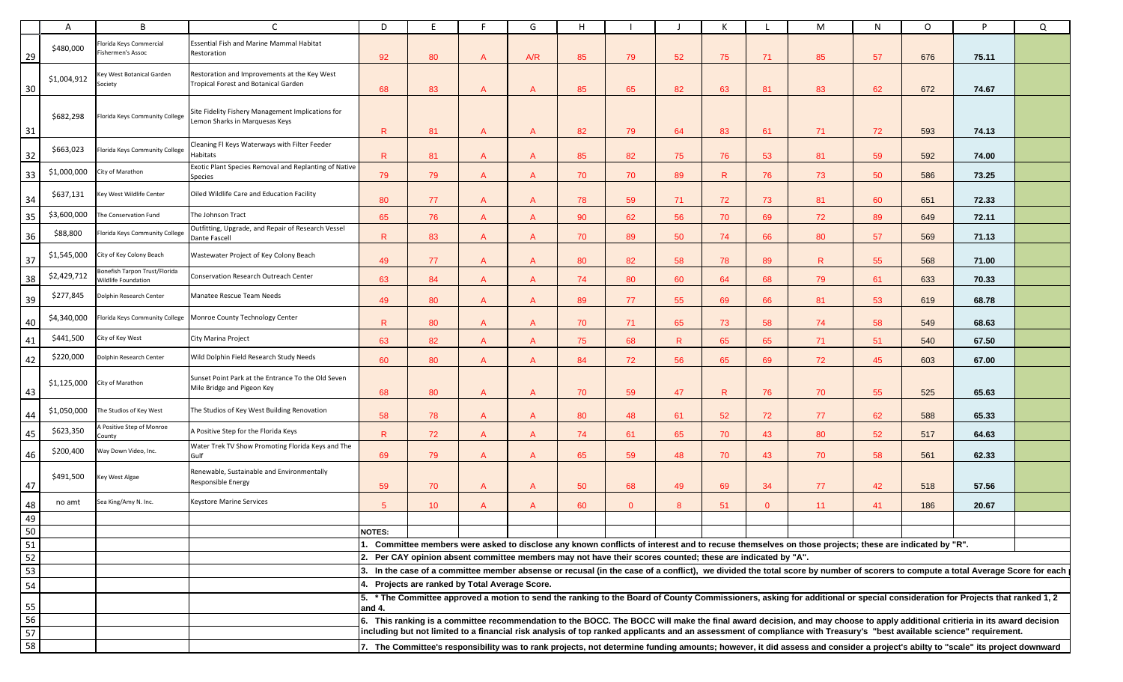|                                           | A           | B                                                                  |                                                                                      | D             |                                                                                                            |   | G   | H  |              |    | Κ  |              | М                                                                                                                                                                                                                                                                                                                                                   | N  | $\circ$ | P     | Q |
|-------------------------------------------|-------------|--------------------------------------------------------------------|--------------------------------------------------------------------------------------|---------------|------------------------------------------------------------------------------------------------------------|---|-----|----|--------------|----|----|--------------|-----------------------------------------------------------------------------------------------------------------------------------------------------------------------------------------------------------------------------------------------------------------------------------------------------------------------------------------------------|----|---------|-------|---|
| 29                                        | \$480,000   | lorida Keys Commercial<br>ishermen's Assoc                         | Essential Fish and Marine Mammal Habitat<br>Restoration                              | 92            | 80                                                                                                         | A | A/R | 85 | 79           | 52 | 75 | 71           | 85                                                                                                                                                                                                                                                                                                                                                  | 57 | 676     | 75.11 |   |
| 30                                        | \$1,004,912 | Key West Botanical Garden<br>Society                               | Restoration and Improvements at the Key West<br>Tropical Forest and Botanical Garden | 68            | 83                                                                                                         | A | А   | 85 | 65           | 82 | 63 | 81           | 83                                                                                                                                                                                                                                                                                                                                                  | 62 | 672     | 74.67 |   |
| 31                                        | \$682,298   | lorida Keys Community College                                      | Site Fidelity Fishery Management Implications for<br>emon Sharks in Marquesas Keys   | $\mathsf{R}$  | 81                                                                                                         | A | A   | 82 | 79           | 64 | 83 | -61          | 71                                                                                                                                                                                                                                                                                                                                                  | 72 | 593     | 74.13 |   |
| 32                                        | \$663,023   | lorida Keys Community College                                      | Cleaning FI Keys Waterways with Filter Feeder<br>Habitats                            | R             | 81                                                                                                         |   | А   | 85 | 82           | 75 | 76 | 53           | 81                                                                                                                                                                                                                                                                                                                                                  | 59 | 592     | 74.00 |   |
| 33                                        | \$1,000,000 | City of Marathon                                                   | Exotic Plant Species Removal and Replanting of Native<br>Species                     | 79            | 79                                                                                                         | A | A   | 70 | 70           | 89 | R. | 76           | 73                                                                                                                                                                                                                                                                                                                                                  | 50 | 586     | 73.25 |   |
| $\begin{array}{c}\n34 \\ 35\n\end{array}$ | \$637,131   | Key West Wildlife Center                                           | Oiled Wildlife Care and Education Facility                                           | 80            | 77                                                                                                         | A | А   | 78 | 59           | 71 | 72 | 73           | 81                                                                                                                                                                                                                                                                                                                                                  | 60 | 651     | 72.33 |   |
|                                           | \$3,600,000 | The Conservation Fund                                              | The Johnson Tract                                                                    | 65            | 76                                                                                                         | A | A   | 90 | 62           | 56 | 70 | 69           | 72                                                                                                                                                                                                                                                                                                                                                  | 89 | 649     | 72.11 |   |
| 36                                        | \$88,800    | Iorida Keys Community College                                      | Outfitting, Upgrade, and Repair of Research Vessel<br>Dante Fascell                  | R             | 83                                                                                                         | A | A   | 70 | 89           | 50 | 74 | 66           | 80                                                                                                                                                                                                                                                                                                                                                  | 57 | 569     | 71.13 |   |
| $37$                                      | \$1,545,000 | City of Key Colony Beach                                           | Wastewater Project of Key Colony Beach                                               | 49            | 77                                                                                                         | A | A   | 80 | 82           | 58 | 78 | 89           | R.                                                                                                                                                                                                                                                                                                                                                  | 55 | 568     | 71.00 |   |
| 38                                        | \$2,429,712 | <b>Sonefish Tarpon Trust/Florida</b><br><b>Nildlife Foundation</b> | Conservation Research Outreach Center                                                | 63            | 84                                                                                                         | A | A   | 74 | 80           | 60 | 64 | 68           | 79                                                                                                                                                                                                                                                                                                                                                  | 61 | 633     | 70.33 |   |
| 39                                        | \$277,845   | Dolphin Research Center                                            | Manatee Rescue Team Needs                                                            | 49            | 80                                                                                                         | A | A   | 89 | 77           | 55 | 69 | 66           | 81                                                                                                                                                                                                                                                                                                                                                  | 53 | 619     | 68.78 |   |
| 40                                        | \$4,340,000 |                                                                    | Florida Keys Community College Monroe County Technology Center                       | R             | 80                                                                                                         | A | A   | 70 | 71           | 65 | 73 | 58           | 74                                                                                                                                                                                                                                                                                                                                                  | 58 | 549     | 68.63 |   |
| 41                                        | \$441,500   | City of Key West                                                   | City Marina Project                                                                  | 63            | 82                                                                                                         | A | А   | 75 | 68           | R  | 65 | 65           | 71                                                                                                                                                                                                                                                                                                                                                  | 51 | 540     | 67.50 |   |
| 42                                        | \$220,000   | Dolphin Research Center                                            | Wild Dolphin Field Research Study Needs                                              | 60            | 80                                                                                                         | A | A   | 84 | 72           | 56 | 65 | 69           | 72                                                                                                                                                                                                                                                                                                                                                  | 45 | 603     | 67.00 |   |
| 43                                        | \$1,125,000 | City of Marathon                                                   | Sunset Point Park at the Entrance To the Old Seven<br>Mile Bridge and Pigeon Key     | 68            | 80                                                                                                         |   | А   | 70 | 59           | 47 | R  | 76           | 70                                                                                                                                                                                                                                                                                                                                                  | 55 | 525     | 65.63 |   |
| 44                                        | \$1,050,000 | The Studios of Key West                                            | The Studios of Key West Building Renovation                                          | 58            | 78                                                                                                         | A | A   | 80 | 48           | 61 | 52 | 72           | 77                                                                                                                                                                                                                                                                                                                                                  | 62 | 588     | 65.33 |   |
| 45                                        | \$623,350   | A Positive Step of Monroe<br>County                                | A Positive Step for the Florida Keys                                                 | R             | 72                                                                                                         | A | A   | 74 | 61           | 65 | 70 | 43           | 80                                                                                                                                                                                                                                                                                                                                                  | 52 | 517     | 64.63 |   |
| 46                                        | \$200,400   | Way Down Video, Inc.                                               | Water Trek TV Show Promoting Florida Keys and The<br>Gulf                            | 69            | 79                                                                                                         | A | А   | 65 | 59           | 48 | 70 | 43           | 70                                                                                                                                                                                                                                                                                                                                                  | 58 | 561     | 62.33 |   |
| 47                                        | \$491,500   | Key West Algae                                                     | Renewable, Sustainable and Environmentally<br>Responsible Energy                     | 59            | 70                                                                                                         |   | A   | 50 | 68           | 49 | 69 | 34           | 77                                                                                                                                                                                                                                                                                                                                                  | 42 | 518     | 57.56 |   |
| 48                                        | no amt      | Sea King/Amy N. Inc.                                               | Keystore Marine Services                                                             | $5^{\circ}$   | 10 <sup>°</sup>                                                                                            | A | A   | 60 | $\mathbf{0}$ | 8  | 51 | $\mathbf{0}$ | 11                                                                                                                                                                                                                                                                                                                                                  | 41 | 186     | 20.67 |   |
| 49                                        |             |                                                                    |                                                                                      |               |                                                                                                            |   |     |    |              |    |    |              |                                                                                                                                                                                                                                                                                                                                                     |    |         |       |   |
| $\frac{15}{50}$                           |             |                                                                    |                                                                                      | <b>NOTES:</b> |                                                                                                            |   |     |    |              |    |    |              |                                                                                                                                                                                                                                                                                                                                                     |    |         |       |   |
|                                           |             |                                                                    |                                                                                      |               |                                                                                                            |   |     |    |              |    |    |              | 1. Committee members were asked to disclose any known conflicts of interest and to recuse themselves on those projects; these are indicated by "R".                                                                                                                                                                                                 |    |         |       |   |
| $\overline{52}$                           |             |                                                                    |                                                                                      |               | 2. Per CAY opinion absent committee members may not have their scores counted; these are indicated by "A". |   |     |    |              |    |    |              |                                                                                                                                                                                                                                                                                                                                                     |    |         |       |   |
| 53                                        |             |                                                                    |                                                                                      |               |                                                                                                            |   |     |    |              |    |    |              | 3. In the case of a committee member absense or recusal (in the case of a conflict), we divided the total score by number of scorers to compute a total Average Score for each                                                                                                                                                                      |    |         |       |   |
| 54                                        |             |                                                                    |                                                                                      |               | Projects are ranked by Total Average Score.                                                                |   |     |    |              |    |    |              |                                                                                                                                                                                                                                                                                                                                                     |    |         |       |   |
| 55                                        |             |                                                                    |                                                                                      | and 4.        |                                                                                                            |   |     |    |              |    |    |              | 5. * The Committee approved a motion to send the ranking to the Board of County Commissioners, asking for additional or special consideration for Projects that ranked 1, 2                                                                                                                                                                         |    |         |       |   |
| 56<br>57                                  |             |                                                                    |                                                                                      |               |                                                                                                            |   |     |    |              |    |    |              | 6. This ranking is a committee recommendation to the BOCC. The BOCC will make the final award decision, and may choose to apply additional critieria in its award decision<br>including but not limited to a financial risk analysis of top ranked applicants and an assessment of compliance with Treasury's "best available science" requirement. |    |         |       |   |
| 58                                        |             |                                                                    |                                                                                      |               |                                                                                                            |   |     |    |              |    |    |              | 7. The Committee's responsibility was to rank projects, not determine funding amounts; however, it did assess and consider a project's abilty to "scale" its project downward                                                                                                                                                                       |    |         |       |   |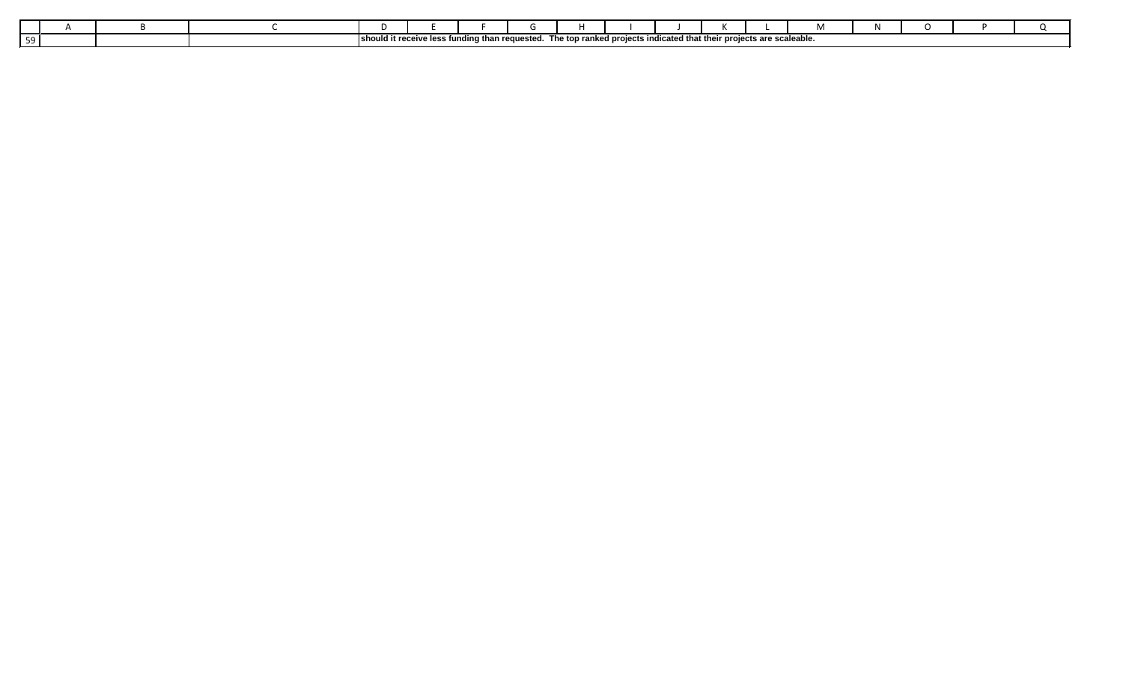|  |  | ud it rece <sup>r</sup><br>leho. | eive less funding than | n reguested | The top ranked projects indicated that their projects are scaleable. |  |  |  |  |
|--|--|----------------------------------|------------------------|-------------|----------------------------------------------------------------------|--|--|--|--|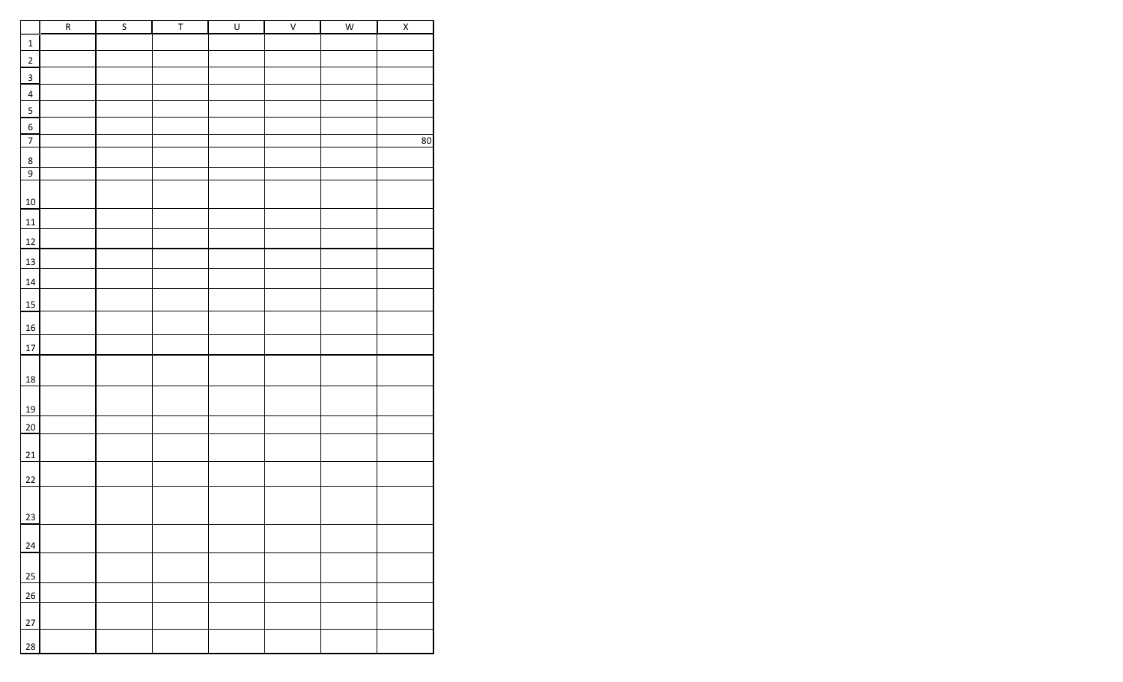|                         | $\overline{R}$ | $\overline{\mathsf{S}}$ | $\overline{\mathsf{T}}$ | $\overline{U}$ | $\overline{\mathsf{v}}$ | W | $\overline{X}$ |
|-------------------------|----------------|-------------------------|-------------------------|----------------|-------------------------|---|----------------|
| $\mathbf 1$             |                |                         |                         |                |                         |   |                |
| $\overline{2}$          |                |                         |                         |                |                         |   |                |
| $\overline{\mathbf{3}}$ |                |                         |                         |                |                         |   |                |
| $\overline{4}$          |                |                         |                         |                |                         |   |                |
| $\sf 5$                 |                |                         |                         |                |                         |   |                |
| $\boldsymbol{6}$        |                |                         |                         |                |                         |   |                |
| $\overline{7}$          |                |                         |                         |                |                         |   | 80             |
| $\bf 8$                 |                |                         |                         |                |                         |   |                |
| $\overline{9}$          |                |                         |                         |                |                         |   |                |
| $10\,$                  |                |                         |                         |                |                         |   |                |
| 11                      |                |                         |                         |                |                         |   |                |
| 12                      |                |                         |                         |                |                         |   |                |
| 13                      |                |                         |                         |                |                         |   |                |
| $\bf{14}$               |                |                         |                         |                |                         |   |                |
| <b>15</b>               |                |                         |                         |                |                         |   |                |
| 16                      |                |                         |                         |                |                         |   |                |
| $17\,$                  |                |                         |                         |                |                         |   |                |
| 18                      |                |                         |                         |                |                         |   |                |
|                         |                |                         |                         |                |                         |   |                |
| 19                      |                |                         |                         |                |                         |   |                |
| $20\overline{)}$        |                |                         |                         |                |                         |   |                |
| $21\,$                  |                |                         |                         |                |                         |   |                |
| 22                      |                |                         |                         |                |                         |   |                |
|                         |                |                         |                         |                |                         |   |                |
| 23                      |                |                         |                         |                |                         |   |                |
| $24\,$                  |                |                         |                         |                |                         |   |                |
|                         |                |                         |                         |                |                         |   |                |
| 25<br>26                |                |                         |                         |                |                         |   |                |
|                         |                |                         |                         |                |                         |   |                |
| $27\,$                  |                |                         |                         |                |                         |   |                |
| 28                      |                |                         |                         |                |                         |   |                |